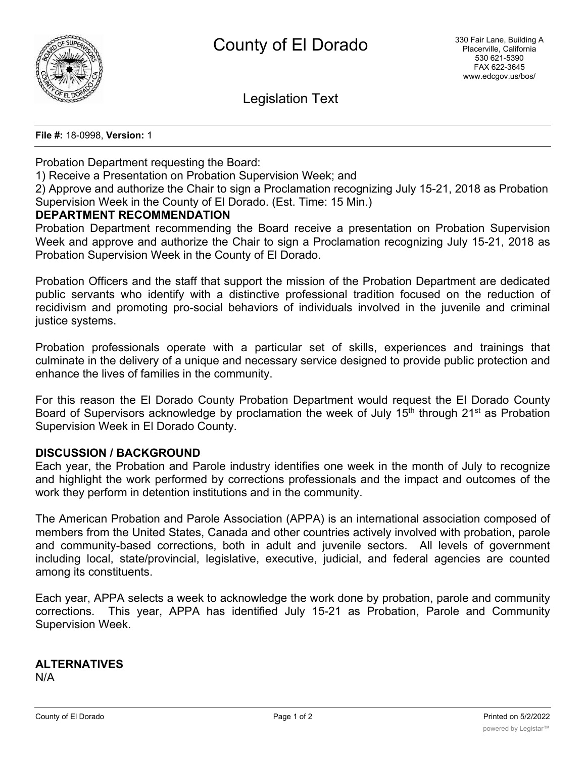

Legislation Text

**File #:** 18-0998, **Version:** 1

Probation Department requesting the Board:

1) Receive a Presentation on Probation Supervision Week; and

2) Approve and authorize the Chair to sign a Proclamation recognizing July 15-21, 2018 as Probation Supervision Week in the County of El Dorado. (Est. Time: 15 Min.)

#### **DEPARTMENT RECOMMENDATION**

Probation Department recommending the Board receive a presentation on Probation Supervision Week and approve and authorize the Chair to sign a Proclamation recognizing July 15-21, 2018 as Probation Supervision Week in the County of El Dorado.

Probation Officers and the staff that support the mission of the Probation Department are dedicated public servants who identify with a distinctive professional tradition focused on the reduction of recidivism and promoting pro-social behaviors of individuals involved in the juvenile and criminal justice systems.

Probation professionals operate with a particular set of skills, experiences and trainings that culminate in the delivery of a unique and necessary service designed to provide public protection and enhance the lives of families in the community.

For this reason the El Dorado County Probation Department would request the El Dorado County Board of Supervisors acknowledge by proclamation the week of July 15<sup>th</sup> through 21<sup>st</sup> as Probation Supervision Week in El Dorado County.

#### **DISCUSSION / BACKGROUND**

Each year, the Probation and Parole industry identifies one week in the month of July to recognize and highlight the work performed by corrections professionals and the impact and outcomes of the work they perform in detention institutions and in the community.

The American Probation and Parole Association (APPA) is an international association composed of members from the United States, Canada and other countries actively involved with probation, parole and community-based corrections, both in adult and juvenile sectors. All levels of government including local, state/provincial, legislative, executive, judicial, and federal agencies are counted among its constituents.

Each year, APPA selects a week to acknowledge the work done by probation, parole and community corrections. This year, APPA has identified July 15-21 as Probation, Parole and Community Supervision Week.

# **ALTERNATIVES**

N/A